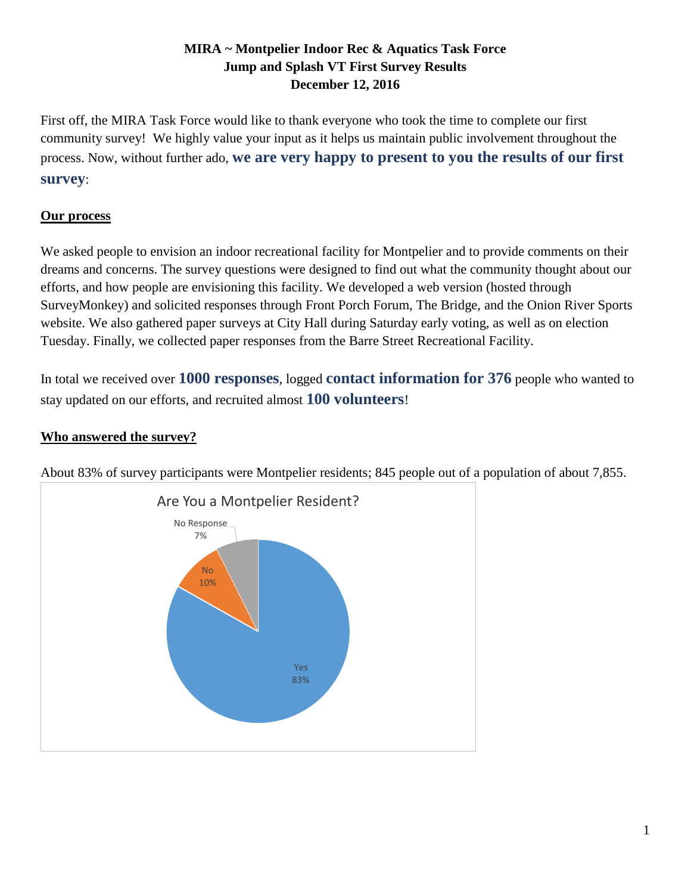## **MIRA ~ Montpelier Indoor Rec & Aquatics Task Force Jump and Splash VT First Survey Results December 12, 2016**

First off, the MIRA Task Force would like to thank everyone who took the time to complete our first community survey! We highly value your input as it helps us maintain public involvement throughout the process. Now, without further ado, **we are very happy to present to you the results of our first survey**:

## **Our process**

We asked people to envision an indoor recreational facility for Montpelier and to provide comments on their dreams and concerns. The survey questions were designed to find out what the community thought about our efforts, and how people are envisioning this facility. We developed a web version (hosted through SurveyMonkey) and solicited responses through Front Porch Forum, The Bridge, and the Onion River Sports website. We also gathered paper surveys at City Hall during Saturday early voting, as well as on election Tuesday. Finally, we collected paper responses from the Barre Street Recreational Facility.

In total we received over **1000 responses**, logged **contact information for 376** people who wanted to stay updated on our efforts, and recruited almost **100 volunteers**!

# **Who answered the survey?**



About 83% of survey participants were Montpelier residents; 845 people out of a population of about 7,855.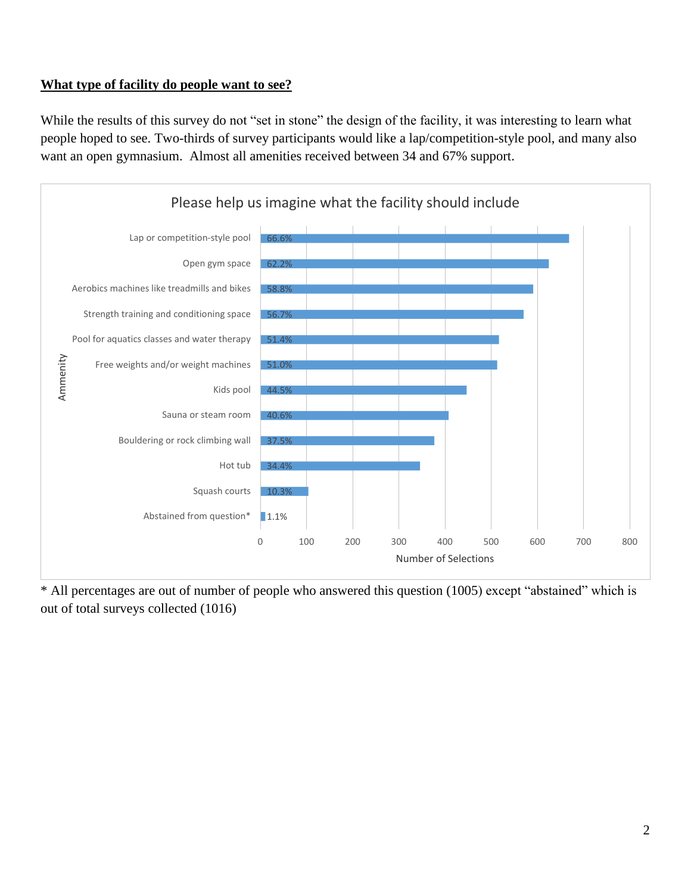#### **What type of facility do people want to see?**

While the results of this survey do not "set in stone" the design of the facility, it was interesting to learn what people hoped to see. Two-thirds of survey participants would like a lap/competition-style pool, and many also want an open gymnasium. Almost all amenities received between 34 and 67% support.



\* All percentages are out of number of people who answered this question (1005) except "abstained" which is out of total surveys collected (1016)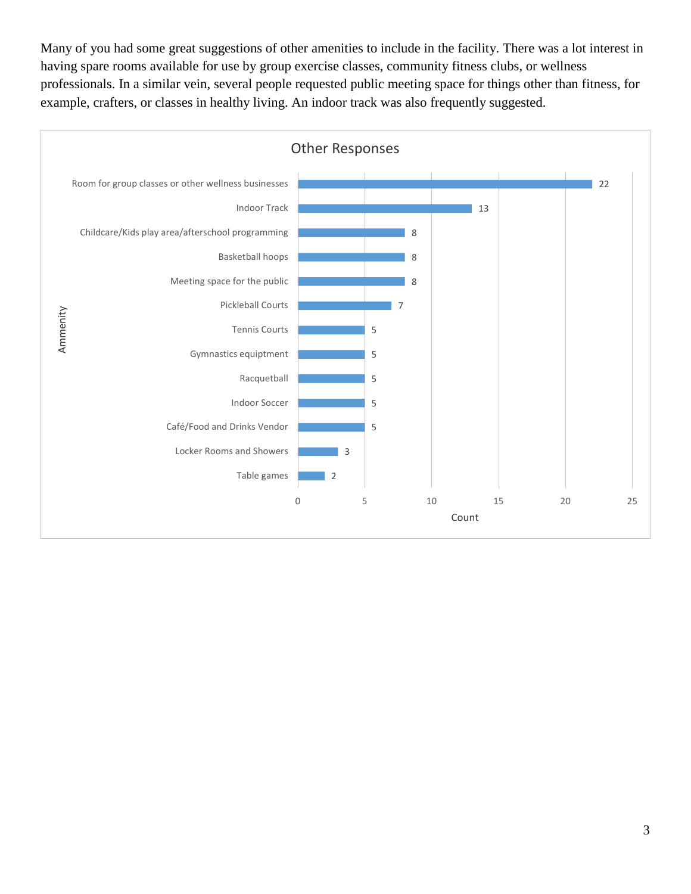Many of you had some great suggestions of other amenities to include in the facility. There was a lot interest in having spare rooms available for use by group exercise classes, community fitness clubs, or wellness professionals. In a similar vein, several people requested public meeting space for things other than fitness, for example, crafters, or classes in healthy living. An indoor track was also frequently suggested.

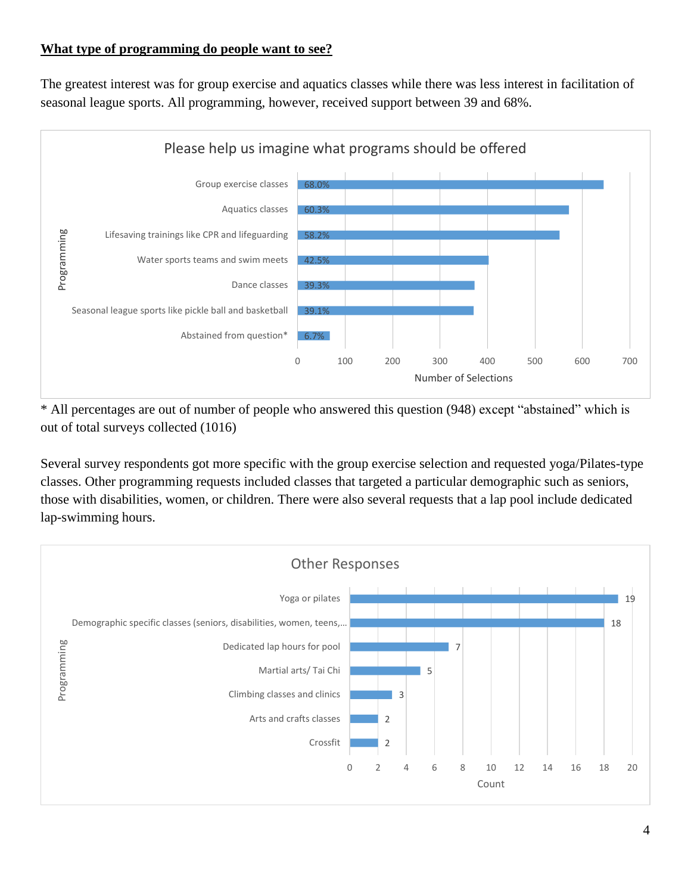## **What type of programming do people want to see?**

The greatest interest was for group exercise and aquatics classes while there was less interest in facilitation of seasonal league sports. All programming, however, received support between 39 and 68%.



\* All percentages are out of number of people who answered this question (948) except "abstained" which is out of total surveys collected (1016)

Several survey respondents got more specific with the group exercise selection and requested yoga/Pilates-type classes. Other programming requests included classes that targeted a particular demographic such as seniors, those with disabilities, women, or children. There were also several requests that a lap pool include dedicated lap-swimming hours.

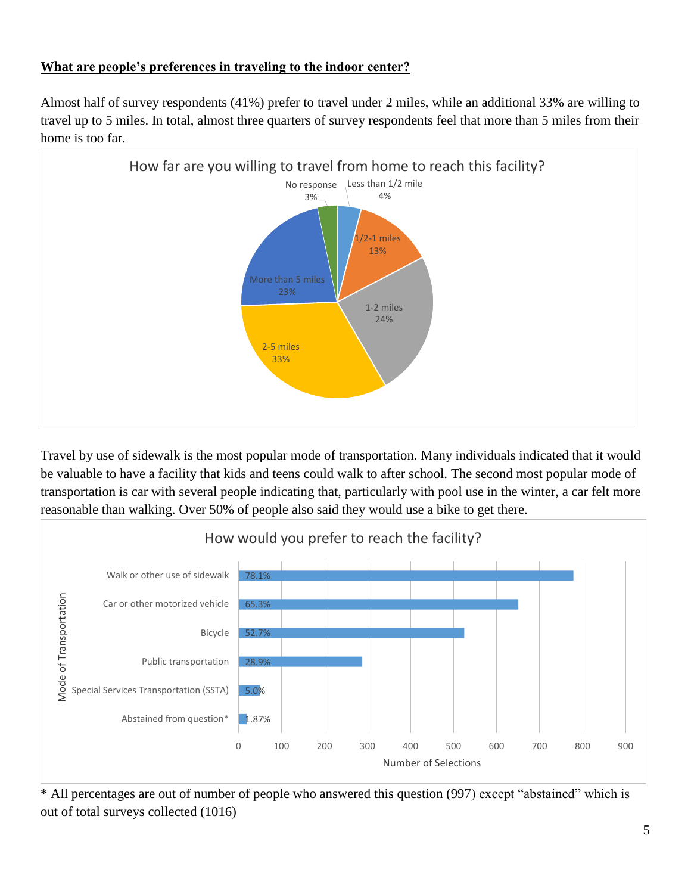#### **What are people's preferences in traveling to the indoor center?**

Almost half of survey respondents (41%) prefer to travel under 2 miles, while an additional 33% are willing to travel up to 5 miles. In total, almost three quarters of survey respondents feel that more than 5 miles from their home is too far.



Travel by use of sidewalk is the most popular mode of transportation. Many individuals indicated that it would be valuable to have a facility that kids and teens could walk to after school. The second most popular mode of transportation is car with several people indicating that, particularly with pool use in the winter, a car felt more reasonable than walking. Over 50% of people also said they would use a bike to get there.



\* All percentages are out of number of people who answered this question (997) except "abstained" which is out of total surveys collected (1016)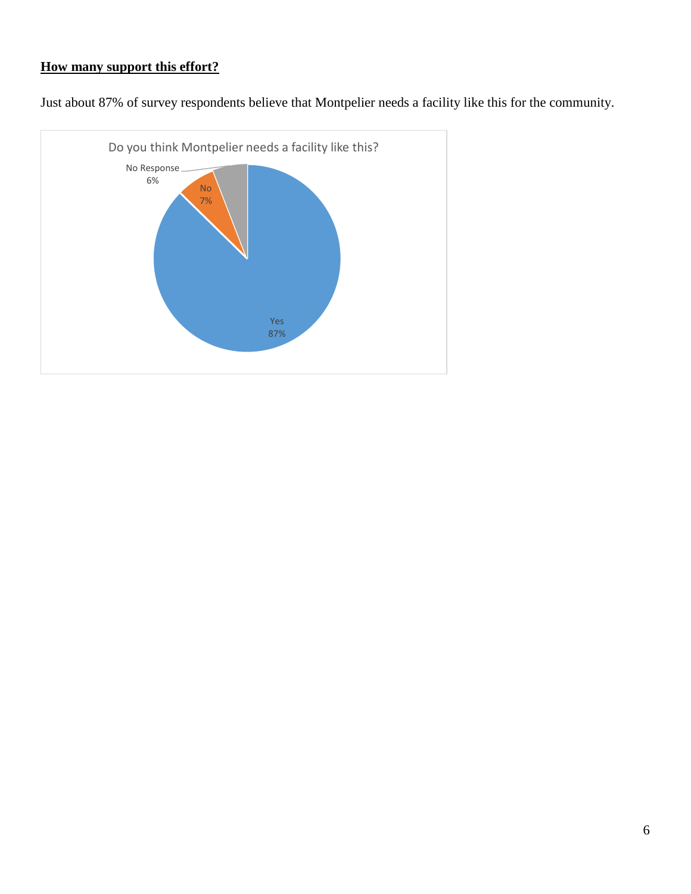#### **How many support this effort?**

Just about 87% of survey respondents believe that Montpelier needs a facility like this for the community.

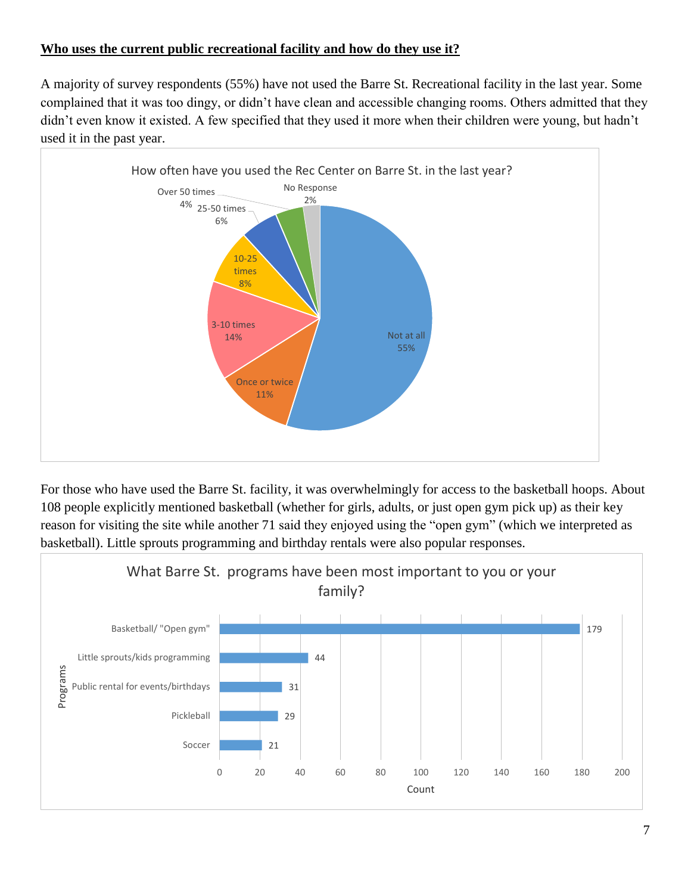## **Who uses the current public recreational facility and how do they use it?**

A majority of survey respondents (55%) have not used the Barre St. Recreational facility in the last year. Some complained that it was too dingy, or didn't have clean and accessible changing rooms. Others admitted that they didn't even know it existed. A few specified that they used it more when their children were young, but hadn't used it in the past year.



For those who have used the Barre St. facility, it was overwhelmingly for access to the basketball hoops. About 108 people explicitly mentioned basketball (whether for girls, adults, or just open gym pick up) as their key reason for visiting the site while another 71 said they enjoyed using the "open gym" (which we interpreted as basketball). Little sprouts programming and birthday rentals were also popular responses.

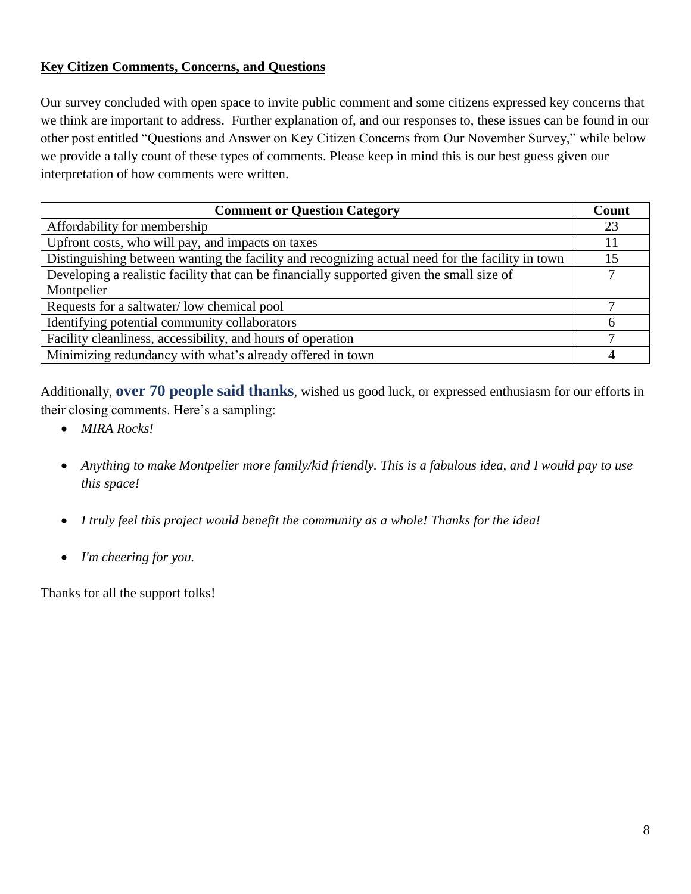#### **Key Citizen Comments, Concerns, and Questions**

Our survey concluded with open space to invite public comment and some citizens expressed key concerns that we think are important to address. Further explanation of, and our responses to, these issues can be found in our other post entitled "Questions and Answer on Key Citizen Concerns from Our November Survey," while below we provide a tally count of these types of comments. Please keep in mind this is our best guess given our interpretation of how comments were written.

| <b>Comment or Question Category</b>                                                              | Count |
|--------------------------------------------------------------------------------------------------|-------|
| Affordability for membership                                                                     | 23    |
| Upfront costs, who will pay, and impacts on taxes                                                | 11    |
| Distinguishing between wanting the facility and recognizing actual need for the facility in town | 15    |
| Developing a realistic facility that can be financially supported given the small size of        |       |
| Montpelier                                                                                       |       |
| Requests for a saltwater/low chemical pool                                                       |       |
| Identifying potential community collaborators                                                    | h     |
| Facility cleanliness, accessibility, and hours of operation                                      |       |
| Minimizing redundancy with what's already offered in town                                        |       |

Additionally, **over 70 people said thanks**, wished us good luck, or expressed enthusiasm for our efforts in their closing comments. Here's a sampling:

- *MIRA Rocks!*
- *Anything to make Montpelier more family/kid friendly. This is a fabulous idea, and I would pay to use this space!*
- *I truly feel this project would benefit the community as a whole! Thanks for the idea!*
- *I'm cheering for you.*

Thanks for all the support folks!